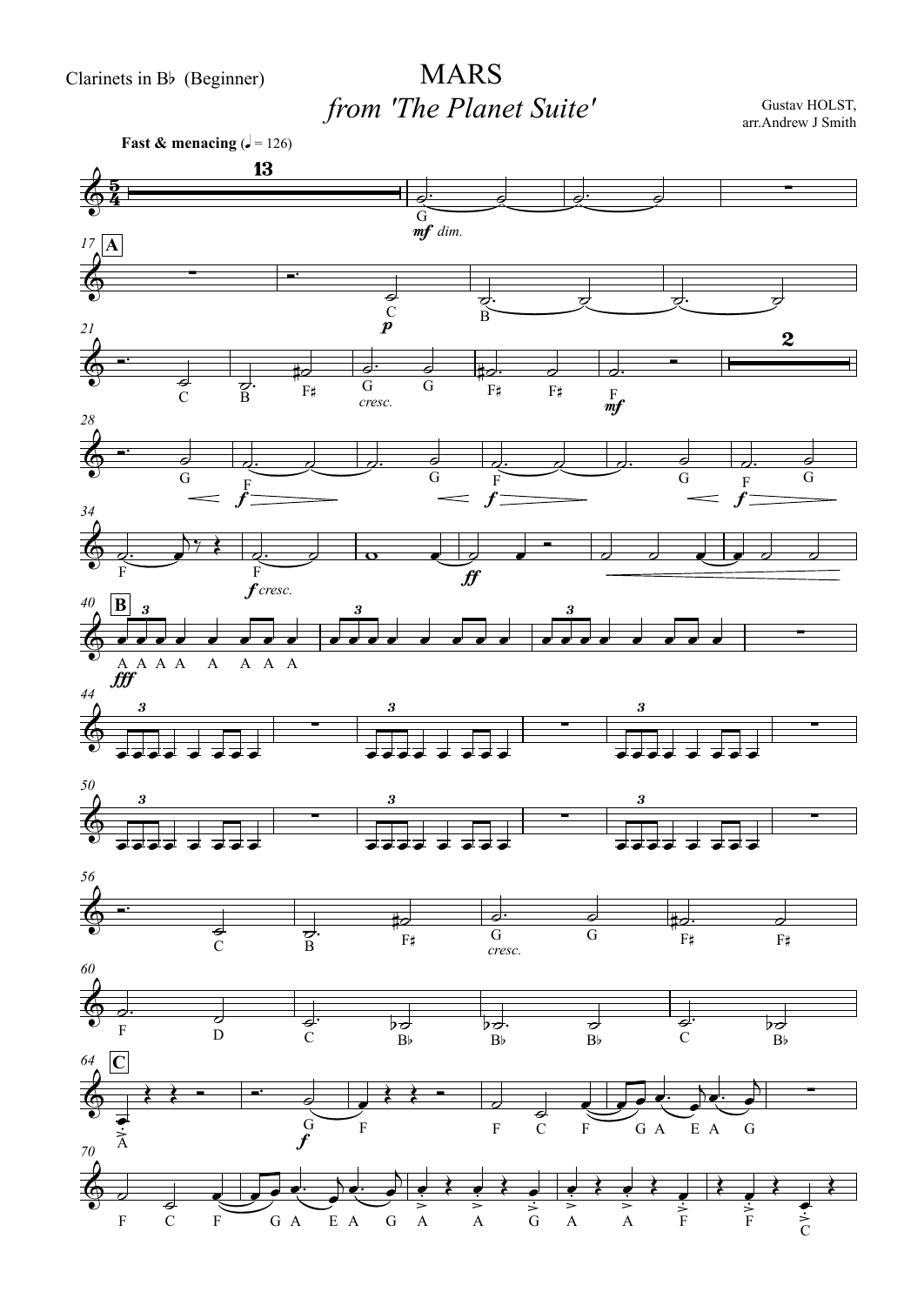## MARS*from 'The Planet Suite'*

Gustav HOLST, arr.Andrew J Smith